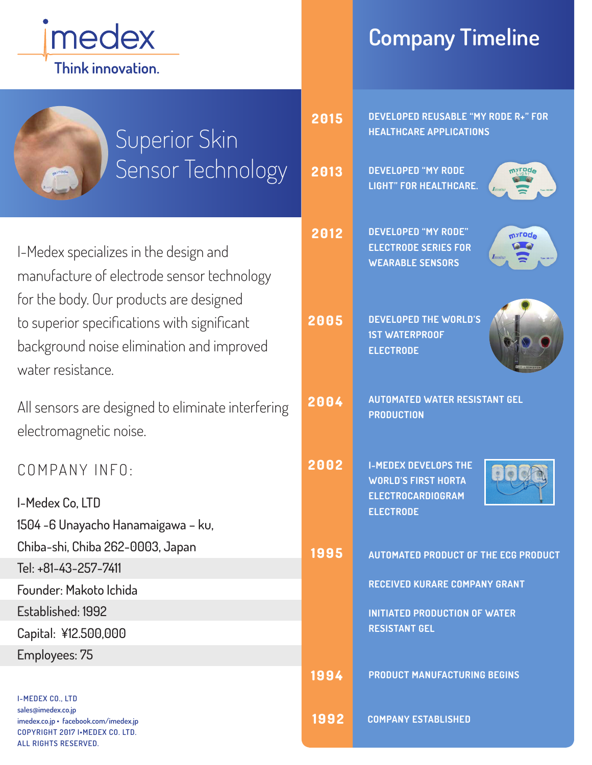

## **Company Timeline**

| Superior Skin                                                                                                                                            | 2015         | DEVELOPED REUSABLE "MY RODE R+" FOR<br><b>HEALTHCARE APPLICATIONS</b>                                                   |
|----------------------------------------------------------------------------------------------------------------------------------------------------------|--------------|-------------------------------------------------------------------------------------------------------------------------|
| Sensor Technology<br>myroda                                                                                                                              | 2013         | <b>DEVELOPED "MY RODE</b><br><b>LIGHT" FOR HEALTHCARE.</b>                                                              |
| I-Medex specializes in the design and<br>manufacture of electrode sensor technology                                                                      | 2012         | <b>DEVELOPED "MY RODE"</b><br>m <sub>a</sub> roq <sup>e</sup><br><b>ELECTRODE SERIES FOR</b><br><b>WEARABLE SENSORS</b> |
| for the body. Our products are designed<br>to superior specifications with significant<br>background noise elimination and improved<br>water resistance. | 2005         | <b>DEVELOPED THE WORLD'S</b><br><b>1ST WATERPROOF</b><br><b>ELECTRODE</b>                                               |
| All sensors are designed to eliminate interfering<br>electromagnetic noise.                                                                              | 2004         | <b>AUTOMATED WATER RESISTANT GEL</b><br><b>PRODUCTION</b>                                                               |
| COMPANY INFO:                                                                                                                                            | 2002         | <b>I-MEDEX DEVELOPS THE</b><br><b>WORLD'S FIRST HORTA</b><br><b>ELECTROCARDIOGRAM</b>                                   |
| I-Medex Co, LTD                                                                                                                                          |              | <b>ELECTRODE</b>                                                                                                        |
| 1504 - 6 Unayacho Hanamaigawa - ku,                                                                                                                      |              |                                                                                                                         |
| Chiba-shi, Chiba 262-0003, Japan                                                                                                                         | 1995         | <b>AUTOMATED PRODUCT OF THE ECG PRODUCT</b>                                                                             |
| Tel: +81-43-257-7411                                                                                                                                     |              | <b>RECEIVED KURARE COMPANY GRANT</b>                                                                                    |
| Founder: Makoto Ichida                                                                                                                                   |              |                                                                                                                         |
| Established: 1992                                                                                                                                        |              | <b>INITIATED PRODUCTION OF WATER</b><br><b>RESISTANT GEL</b>                                                            |
| Capital: ¥12.500,000                                                                                                                                     |              |                                                                                                                         |
| Employees: 75                                                                                                                                            |              | <b>PRODUCT MANUFACTURING BEGINS</b>                                                                                     |
| <b>I-MEDEX CO., LTD</b><br>sales@imedex.co.jp<br>imedex.co.jp · facebook.com/imedex.jp                                                                   | 1994<br>1992 | <b>COMPANY ESTABLISHED</b>                                                                                              |
|                                                                                                                                                          |              |                                                                                                                         |

**COPYRIGHT 2017 I•MEDEX CO. LTD. ALL RIGHTS RESERVED.**